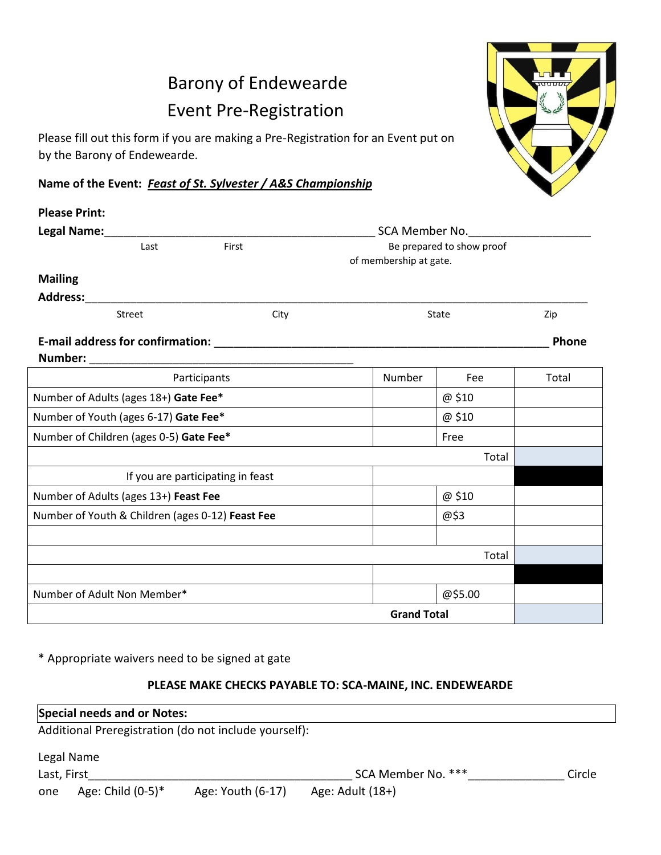## Barony of Endewearde Event Pre-Registration

Please fill out this form if you are making a Pre-Registration for an Event put on by the Barony of Endewearde.

**Name of the Event:** *Feast of St. Sylvester / A&S Championship*

| <b>Please Print:</b>                             |        |                                   |                                                     |         |       |  |  |
|--------------------------------------------------|--------|-----------------------------------|-----------------------------------------------------|---------|-------|--|--|
| Legal Name:                                      |        | SCA Member No.                    |                                                     |         |       |  |  |
|                                                  | Last   | First                             | Be prepared to show proof<br>of membership at gate. |         |       |  |  |
| <b>Mailing</b>                                   |        |                                   |                                                     |         |       |  |  |
| <b>Address:</b>                                  |        |                                   |                                                     |         |       |  |  |
|                                                  | Street | City                              |                                                     | State   | Zip   |  |  |
|                                                  |        |                                   |                                                     |         | Phone |  |  |
| Number:                                          |        |                                   |                                                     |         |       |  |  |
|                                                  |        | Participants                      | Number                                              | Fee     | Total |  |  |
| Number of Adults (ages 18+) Gate Fee*            |        |                                   |                                                     | @ \$10  |       |  |  |
| Number of Youth (ages 6-17) Gate Fee*            |        |                                   |                                                     | @ \$10  |       |  |  |
| Number of Children (ages 0-5) Gate Fee*          |        | Free                              |                                                     |         |       |  |  |
|                                                  |        |                                   |                                                     | Total   |       |  |  |
|                                                  |        | If you are participating in feast |                                                     |         |       |  |  |
| Number of Adults (ages 13+) Feast Fee            |        |                                   |                                                     | @ \$10  |       |  |  |
| Number of Youth & Children (ages 0-12) Feast Fee |        |                                   | @\$3                                                |         |       |  |  |
|                                                  |        |                                   |                                                     |         |       |  |  |
|                                                  |        |                                   |                                                     | Total   |       |  |  |
|                                                  |        |                                   |                                                     |         |       |  |  |
| Number of Adult Non Member*                      |        |                                   |                                                     | @\$5.00 |       |  |  |
|                                                  |        |                                   | <b>Grand Total</b>                                  |         |       |  |  |

\* Appropriate waivers need to be signed at gate

## **PLEASE MAKE CHECKS PAYABLE TO: SCA-MAINE, INC. ENDEWEARDE**

| Special needs and or Notes:                           |                      |                   |                    |        |  |  |  |  |
|-------------------------------------------------------|----------------------|-------------------|--------------------|--------|--|--|--|--|
| Additional Preregistration (do not include yourself): |                      |                   |                    |        |  |  |  |  |
|                                                       | Legal Name           |                   |                    |        |  |  |  |  |
| Last, First                                           |                      |                   | SCA Member No. *** | Circle |  |  |  |  |
| one                                                   | Age: Child $(0-5)^*$ | Age: Youth (6-17) | Age: Adult $(18+)$ |        |  |  |  |  |